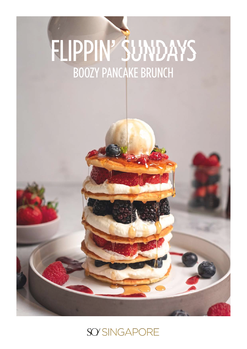# FLIPPIN' SUNDAYS BOOZY PANCAKE BRUNCH

## SO'SINGAPORE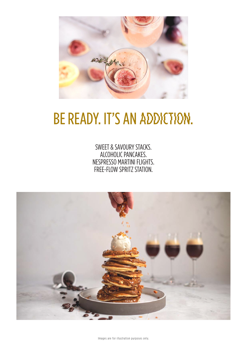

# BE READY. IT'S AN ADDICTION.

SWEET & SAVOURY STACKS. ALCOHOLIC PANCAKES. NESPRESSO MARTINI FLIGHTS. FREE-FLOW SPRITZ STATION.



Images are for illustration purposes only.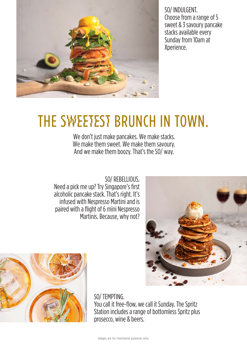

SO/ INDULGENT. Choose from a range of 5 sweet & 3 savoury pancake stacks available every Sunday from 10am at Xperience.

## THE SWEETEST BRUNCH IN TOWN.

We don't just make pancakes. We make stacks. We make them sweet. We make them savoury. And we make them boozy. That's the SO/ way.

SO/ REBELLIOUS. Need a pick me up? Try Singapore's first alcoholic pancake stack. That's right. It's infused with Nespresso Martini and is paired with a flight of 6 mini Nespresso Martinis. Because, why not?





SO/ TEMPTING. You call it free-flow, we call it Sunday. The Spritz Station includes a range of bottomless Spritz plus prosecco, wine & beers.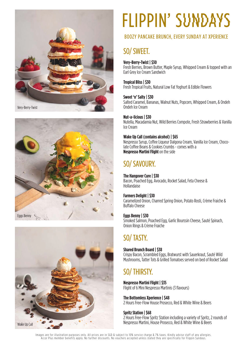





# FLIPPIN' SUNDAYS

#### BOOZY PANCAKE BRUNCH, EVERY SUNDAY AT XPERIENCE

## SO/ SWEET.

#### **Very-Berry-Twist | \$30**

Fresh Berries, Brown Butter, Maple Syrup, Whipped Cream & topped with an Earl Grey Ice Cream Sandwich

#### **Tropical Bliss | \$30**

Fresh Tropical Fruits, Natural Low Fat Yoghurt & Edible Flowers

#### **Sweet 'n' Salty | \$30**

Salted Caramel, Bananas, Walnut Nuts, Popcorn, Whipped Cream, & Ondeh Ondeh Ice Cream

#### **Nut-a-licious | \$30**

Nutella, Macadamia Nut, Wild Berries Compote, Fresh Strawberries & Vanilla Ice Cream

#### **Wake Up Call (contains alcohol) | \$65**

Nespresso Syrup, Coffee Liqueur Dalgona Cream, Vanilla Ice Cream, Choco- late Coffee Beans & Cookies Crumbs - comes with a **Nespresso Martini Flight** on the side

## SO/ SAVOURY.

#### **The Hangover Cure | \$30**

Bacon, Poached Egg, Avocado, Rocket Salad, Feta Cheese & Hollandaise

#### **Farmers Delight | \$30**

Caramelized Onion, Charred Spring Onion, Potato Rosti, Crème Fraiche & Buffalo Cheese

#### **Eggs Benny | \$30**

Smoked Salmon, Poached Egg, Garlic Bourssin Cheese, Sauté Spinach, Onion Rings & Crème Fraiche

## SO/ TASTY.

#### **Shared Brunch Board | \$38**

Crispy Bacon, Scrambled Eggs, Bratwurst with Sauerkraut, Sauté Wild Mushrooms, Tatter Tots & Grilled Tomatoes served on bed of Rocket Salad

### SO/ THIRSTY.

#### **Nespresso Martini Flight | \$35**

Flight of 6 Mini Nespresso Martinis (3 flavours)

#### **The Bottomless Xperience | \$48**

2 Hours Free-Flow House Prosecco, Red & White Wine & Beers

#### **Spritz Station | \$68**

2 Hours Free-Flow Spritz Station including a variety of Spritz, 2 rounds of Nespresso Martini, House Prosecco, Red & White Wine & Beers

Images are for illustration purposes only. All prices are in SGD & subject to 10% service charge & 7% taxes. Kindly advise staff of any allergies. Accor Plus member benefits apply. No further discounts. No vouchers accepted unless stated they are specifically for Flippin Sundays.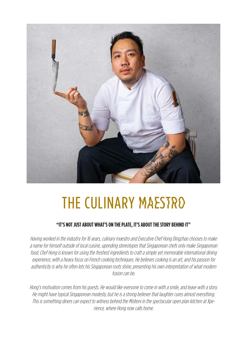

# THE CULINARY MAESTRO

#### **"IT'S NOT JUST ABOUT WHAT'S ON THE PLATE, IT'S ABOUT THE STORY BEHIND IT"**

Having worked in the industry for 16 years, culinary maestro and Executive Chef Hong Dingzhao chooses to make a name for himself outside of local cuisine, upending stereotypes that Singaporean chefs only make Singaporean food. Chef Hong is known for using the freshest ingredients to craft a simple yet memorable international dining experience, with a heavy focus on French cooking techniques. He believes cooking is an art, and his passion for authenticity is why he often lets his Singaporean roots shine, presenting his own interpretation of what modern fusion can be.

Hong's motivation comes from his guests. He would like everyone to come in with a smile, and leave with a story. He might have typical Singaporean modesty, but he is a strong believer that laughter cures almost everything. This is something diners can expect to witness behind the Molteni in the spectacular open plan kitchen at Xperience, where Hong now calls home.